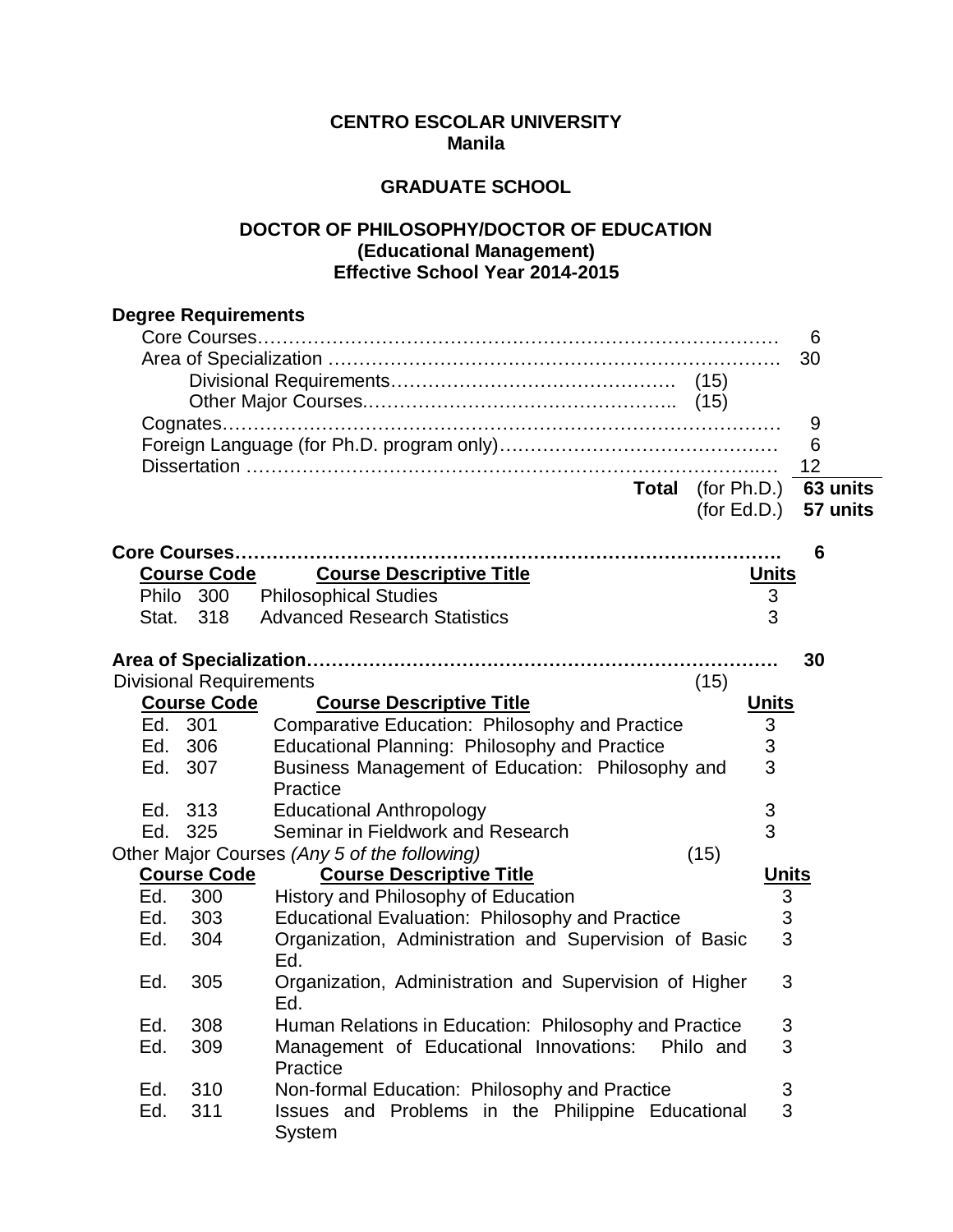## **CENTRO ESCOLAR UNIVERSITY Manila**

## **GRADUATE SCHOOL**

## **DOCTOR OF PHILOSOPHY/DOCTOR OF EDUCATION (Educational Management) Effective School Year 2014-2015**

|       | <b>Degree Requirements</b>     |                                                        |             |              |          |
|-------|--------------------------------|--------------------------------------------------------|-------------|--------------|----------|
|       |                                |                                                        |             |              | 6        |
|       |                                |                                                        |             |              | 30       |
|       |                                |                                                        |             |              |          |
|       |                                |                                                        |             |              |          |
|       |                                |                                                        |             |              | 9        |
|       |                                |                                                        |             |              | 6        |
|       |                                |                                                        |             |              | 12       |
|       |                                | <b>Total</b>                                           | (for Ph.D.) |              | 63 units |
|       |                                |                                                        | (for Ed.D.) |              | 57 units |
|       |                                |                                                        |             |              |          |
|       |                                |                                                        |             |              | 6        |
|       | <b>Course Code</b>             | <b>Course Descriptive Title</b>                        |             | <u>Units</u> |          |
|       | Philo 300                      | <b>Philosophical Studies</b>                           |             | 3            |          |
| Stat. | 318                            | <b>Advanced Research Statistics</b>                    |             | 3            |          |
|       |                                |                                                        |             |              |          |
|       |                                |                                                        |             |              | 30       |
|       | <b>Divisional Requirements</b> |                                                        | (15)        |              |          |
|       | <b>Course Code</b>             | <b>Course Descriptive Title</b>                        |             | <b>Units</b> |          |
|       | Ed. 301                        | Comparative Education: Philosophy and Practice         |             | 3            |          |
| Ed.   | 306                            | Educational Planning: Philosophy and Practice          |             | 3            |          |
| Ed.   | 307                            | Business Management of Education: Philosophy and       |             | 3            |          |
|       |                                | Practice                                               |             |              |          |
| Ed.   | 313                            | <b>Educational Anthropology</b>                        |             | 3            |          |
| Ed.   | 325                            | Seminar in Fieldwork and Research                      |             | 3            |          |
|       |                                | Other Major Courses (Any 5 of the following)           | (15)        |              |          |
|       | <b>Course Code</b>             | <b>Course Descriptive Title</b>                        |             | <b>Units</b> |          |
| Ed.   | 300                            | History and Philosophy of Education                    |             | 3            |          |
| Ed.   | 303                            | Educational Evaluation: Philosophy and Practice        |             | 3            |          |
| Ed.   | 304                            | Organization, Administration and Supervision of Basic  |             | 3            |          |
|       |                                | Ed.                                                    |             |              |          |
| Ed.   | 305                            | Organization, Administration and Supervision of Higher |             | 3            |          |
|       |                                | Ed.                                                    |             |              |          |
| Ed.   | 308                            | Human Relations in Education: Philosophy and Practice  |             | 3            |          |
| Ed.   | 309                            | Management of Educational Innovations:                 | Philo and   | 3            |          |
|       |                                | Practice                                               |             |              |          |
| Ed.   | 310                            | Non-formal Education: Philosophy and Practice          |             | 3            |          |
| Ed.   | 311                            | Issues and Problems in the Philippine Educational      |             | 3            |          |
|       |                                | System                                                 |             |              |          |